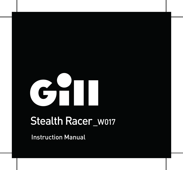# С

# Stealth Racer\_W017

Instruction Manual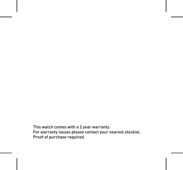This watch comes with a 2 year warranty. For warranty issues please contact your nearest stockist. Proof of purchase required.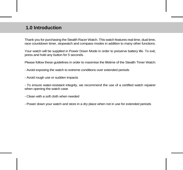### **1.0 Introduction**

Thank you for purchasing the Stealth Racer Watch. This watch features real time, dual time, race countdown timer, stopwatch and compass modes in addition to many other functions.

Your watch will be supplied in Power Down Mode in order to preserve battery life. To exit, press and hold any button for 5 seconds.

Please follow these guidelines in order to maximise the lifetime of the Stealth Timer Watch:

- Avoid exposing the watch to extreme conditions over extended periods

- Avoid rough use or sudden impacts

- To ensure water-resistant integrity, we recommend the use of a certified watch repairer when opening the watch case

- Clean with a soft cloth when needed

- Power down your watch and store in a dry place when not in use for extended periods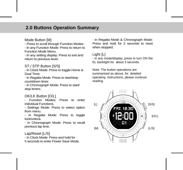### **2.0 Buttons Operation Summary**

### Mode Button [M]

- Press to scroll through Function Modes

- In any Function Mode: Press to return to Function Mode Menu.

- In any setting display: Press to exit and return to previous level.

### ST./ STP Button [S/S]

- In Clock Mode: Press to toggle Home & Dual Time.

- In Regatta Mode: Press to start/stop countdown timer.

- In Chronograph Mode: Press to start/ stop timers.

### OK/LK Button [O/L]

- Function Modes: Press to enter individual Functions.

- Settings Mode: Press to select option from menu.

- In Regatta Mode: Press to toggle lock/unlock.

- In Chronograph Mode: Press to recall previous lap time.

Lap/Reset [L/S] - In Clock Mode: Press and hold for 5 seconds to enter Power Save Mode. - In Regatta Mode & Chronograph Mode: Press and hold for 2 seconds to reset when stopped.

Light [L]

- In any mode/display, press to turn ON the EL backlight for about 3 seconds.

Note: The button operations are summarised as above, for detailed operating instructions, please continue reading.

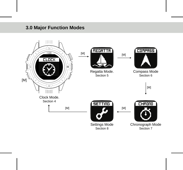### **3.0 Major Function Modes**

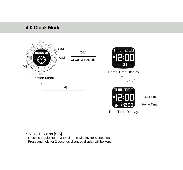### **4.0 Clock Mode**



### \* ST.STP Button [S/S]

- Press to toggle Home & Dual Time Display for 5 seconds.
- Press and hold for 2 seconds changed display will be kept.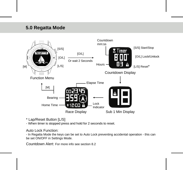### **3.0 Regatta Mode 5.0**



\* Lap/Reset Button [L/S]

- When timer is stopped press and hold for 2 seconds to reset.

Auto Lock Function:

- In Regatta Mode the keys can be set to Auto Lock preventing accidental operation - this can be set ON/OFF in Settings Mode.

Countdown Alert: For more info see section 8.2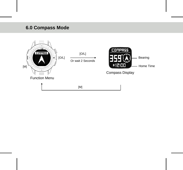# **6.0 Compass Mode**

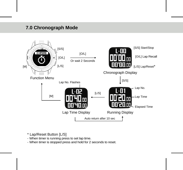### **7.0 Chronograph Mode**



- \* Lap/Reset Button [L/S]
- When timer is running press to set lap time.
- When timer is stopped press and hold for 2 seconds to reset.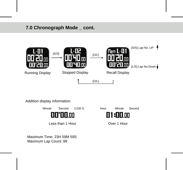# **7.0 Chronograph Mode \_ cont.**



Addition display information:



Maximum Time: 23H 59M 59S Maximum Lap Count: 99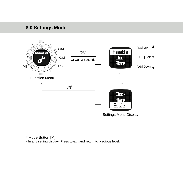# **8.0 Settings Mode**



\* Mode Button [M]

- In any setting display: Press to exit and return to previous level.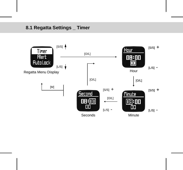### **8.1 Regatta Settings \_ Timer**

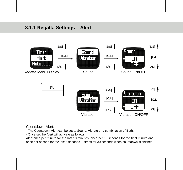### **8.1.1 Regatta Settings \_ Alert**



### Countdown Alert:

- The Countdown Alert can be set to Sound, Vibrate or a combination of Both.
- Once set the Alert will activate as follows:

Alert once per minute for the last 10 minutes, once per 10 seconds for the final minute and once per second for the last 5 seconds. 3 times for 30 seconds when countdown is finished.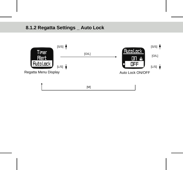# **8.1.2 Regatta Settings \_ Auto Lock**

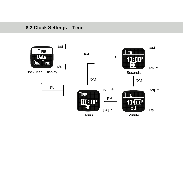# **8.2 Clock Settings \_ Time**

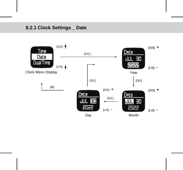# **8.2.1 Clock Settings \_ Date**

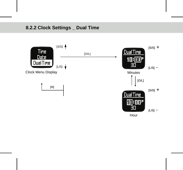# **8.2.2 Clock Settings \_ Dual Time**

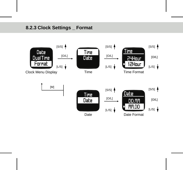## **8.2.3 Clock Settings \_ Format**

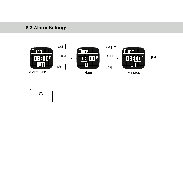# **8.3 Alarm Settings**



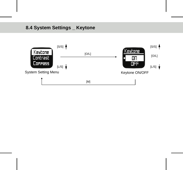# **8.4 System Settings \_ Keytone**

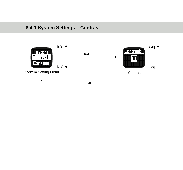# **8.4.1 System Settings \_ Contrast**

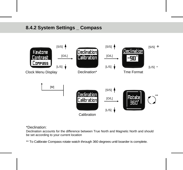# **8.4.2 System Settings \_ Compass**



### \*Declination:

Declination accounts for the difference between True North and Magnetic North and should be set according to your current location

\*\* To Calibrate Compass rotate watch through 360 degrees until boarder is complete.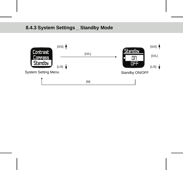# **8.4.3 System Settings \_ Standby Mode**

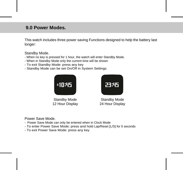### **9.0 Power Modes.**

This watch includes three power saving Functions designed to help the battery last longer:

Standby Mode.

- When no key is pressed for 1 hour, the watch will enter Standby Mode.
- When in Standby Mode only the current time will be shown
- To exit Standby Mode: press any key
- Standby Mode can be set On/Off in System Settings



Standby Mode 12 Hour Display



Standby Mode 24 Hour Display

Power Save Mode.

- Power Save Mode can only be entered when in Clock Mode
- To enter Power Save Mode: press and hold Lap/Reset [L/S] for 5 seconds
- To exit Power Save Mode: press any key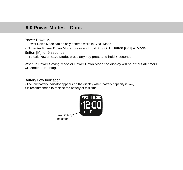### **9.0 Power Modes \_ Cont.**

Power Down Mode.

- Power Down Mode can be only entered while in Clock Mode
- To enter Power Down Mode: press and holdST./ STP Button [S/S] & Mode

Button [M] for 5 seconds

- To exit Power Save Mode: press any key press and hold 5 seconds

When in Power Saving Mode or Power Down Mode the display will be off but all timers will continue running.

Battery Low Indication.

- The low battery indicator appears on the display when battery capacity is low, it is recommended to replace the battery at this time.

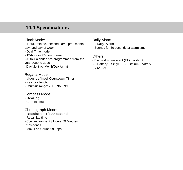### **10.0 Specifications**

### Clock Mode:

- Hour, minute, second, am, pm, month, day, and day of week

- Dual Time mode
- 12-hour or 24-hour format

- Auto-Calendar pre-programmed from the year 2000 to 2099

- Day/Month or Month/Day format

### Regatta Mode:

- User defined Countdown Timer
- Key lock function
- Count-up range: 23H 59M 59S

### Compass Mode:

- Bearing
- Current time

### Chronograph Mode:

- Resolution 1/100 second
- Recall lap time
- Count-up range: 23 Hours 59 Minutes

59 Seconds

- Max. Lap Count: 99 Laps

### Daily Alarm

- 1 Daily Alarm
- Sounds for 30 seconds at alarm time

### **Others**

- Electro-Luminescent (EL) backlight
- Battery: Single 3V lithium battery (CR2032)